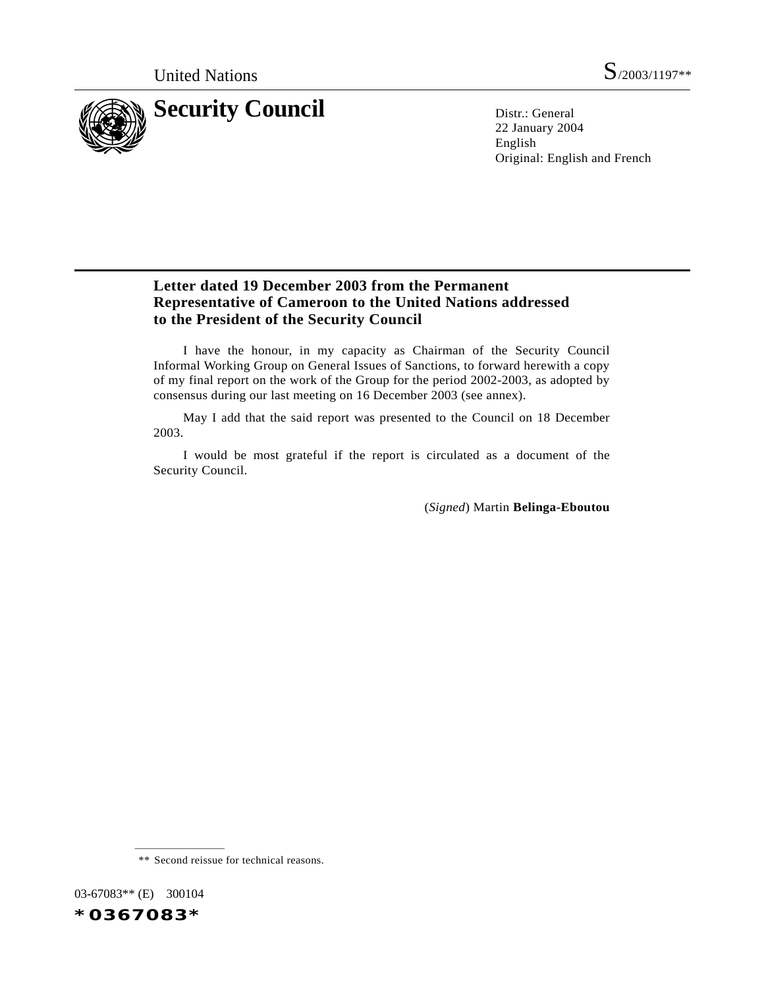

22 January 2004 English Original: English and French

## **Letter dated 19 December 2003 from the Permanent Representative of Cameroon to the United Nations addressed to the President of the Security Council**

I have the honour, in my capacity as Chairman of the Security Council Informal Working Group on General Issues of Sanctions, to forward herewith a copy of my final report on the work of the Group for the period 2002-2003, as adopted by consensus during our last meeting on 16 December 2003 (see annex).

May I add that the said report was presented to the Council on 18 December 2003.

I would be most grateful if the report is circulated as a document of the Security Council.

(*Signed*) Martin **Belinga-Eboutou**

03-67083\*\* (E) 300104



<sup>\*\*</sup> Second reissue for technical reasons.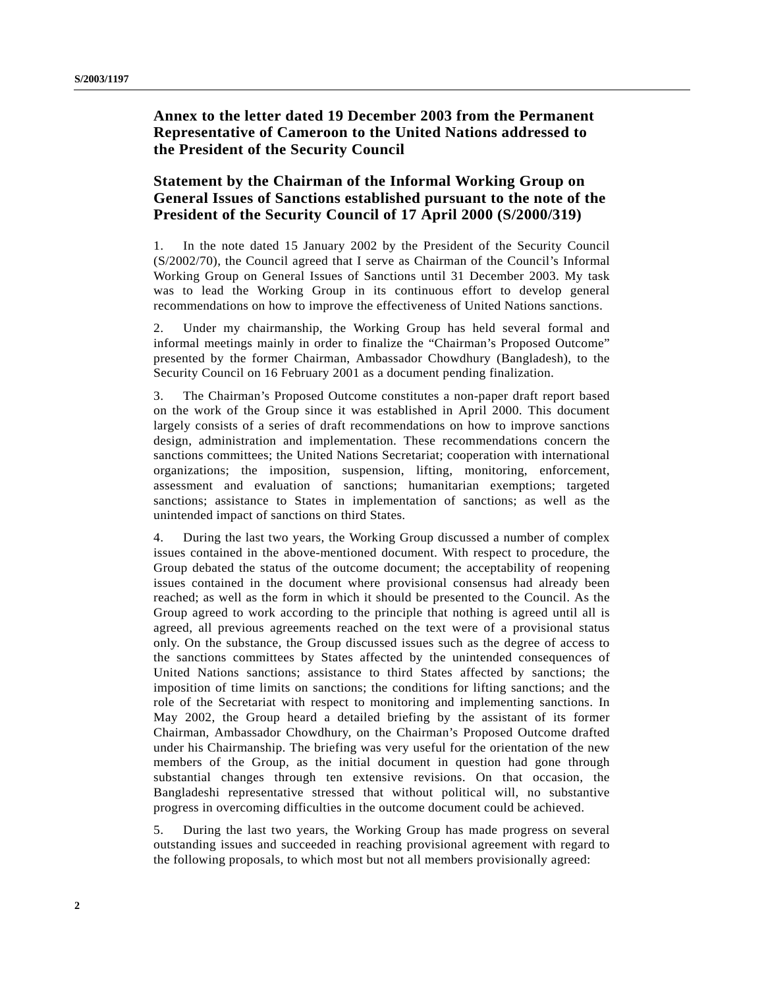## **Annex to the letter dated 19 December 2003 from the Permanent Representative of Cameroon to the United Nations addressed to the President of the Security Council**

## **Statement by the Chairman of the Informal Working Group on General Issues of Sanctions established pursuant to the note of the President of the Security Council of 17 April 2000 (S/2000/319)**

1. In the note dated 15 January 2002 by the President of the Security Council (S/2002/70), the Council agreed that I serve as Chairman of the Council's Informal Working Group on General Issues of Sanctions until 31 December 2003. My task was to lead the Working Group in its continuous effort to develop general recommendations on how to improve the effectiveness of United Nations sanctions.

2. Under my chairmanship, the Working Group has held several formal and informal meetings mainly in order to finalize the "Chairman's Proposed Outcome" presented by the former Chairman, Ambassador Chowdhury (Bangladesh), to the Security Council on 16 February 2001 as a document pending finalization.

3. The Chairman's Proposed Outcome constitutes a non-paper draft report based on the work of the Group since it was established in April 2000. This document largely consists of a series of draft recommendations on how to improve sanctions design, administration and implementation. These recommendations concern the sanctions committees; the United Nations Secretariat; cooperation with international organizations; the imposition, suspension, lifting, monitoring, enforcement, assessment and evaluation of sanctions; humanitarian exemptions; targeted sanctions; assistance to States in implementation of sanctions; as well as the unintended impact of sanctions on third States.

4. During the last two years, the Working Group discussed a number of complex issues contained in the above-mentioned document. With respect to procedure, the Group debated the status of the outcome document; the acceptability of reopening issues contained in the document where provisional consensus had already been reached; as well as the form in which it should be presented to the Council. As the Group agreed to work according to the principle that nothing is agreed until all is agreed, all previous agreements reached on the text were of a provisional status only. On the substance, the Group discussed issues such as the degree of access to the sanctions committees by States affected by the unintended consequences of United Nations sanctions; assistance to third States affected by sanctions; the imposition of time limits on sanctions; the conditions for lifting sanctions; and the role of the Secretariat with respect to monitoring and implementing sanctions. In May 2002, the Group heard a detailed briefing by the assistant of its former Chairman, Ambassador Chowdhury, on the Chairman's Proposed Outcome drafted under his Chairmanship. The briefing was very useful for the orientation of the new members of the Group, as the initial document in question had gone through substantial changes through ten extensive revisions. On that occasion, the Bangladeshi representative stressed that without political will, no substantive progress in overcoming difficulties in the outcome document could be achieved.

5. During the last two years, the Working Group has made progress on several outstanding issues and succeeded in reaching provisional agreement with regard to the following proposals, to which most but not all members provisionally agreed: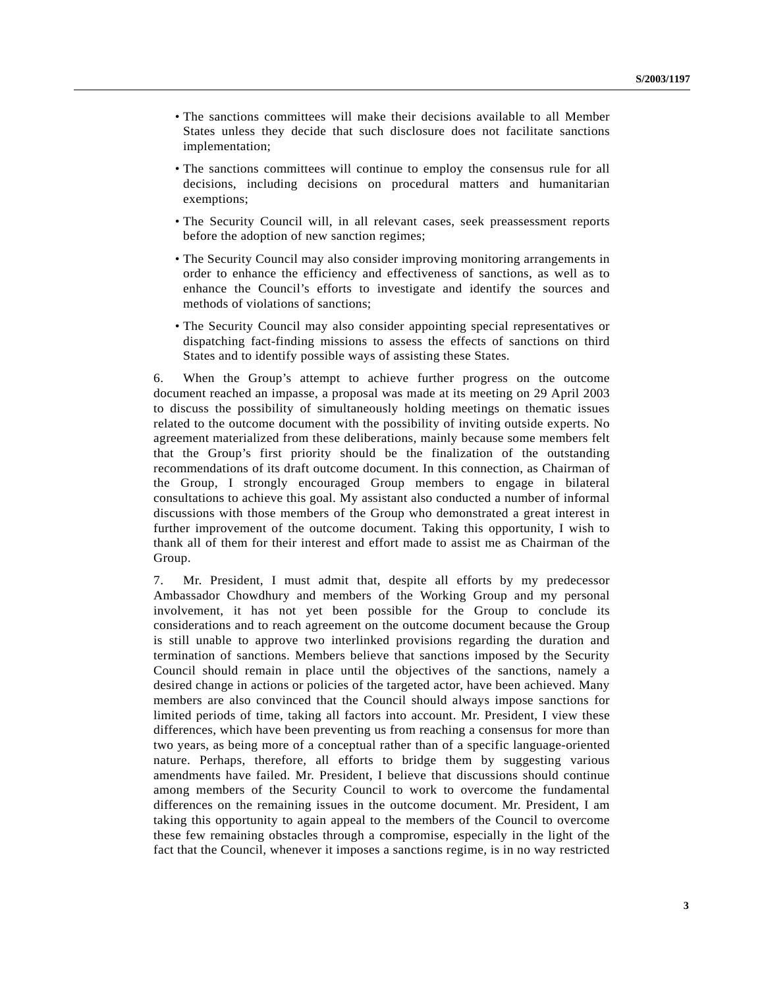- The sanctions committees will make their decisions available to all Member States unless they decide that such disclosure does not facilitate sanctions implementation;
- The sanctions committees will continue to employ the consensus rule for all decisions, including decisions on procedural matters and humanitarian exemptions;
- The Security Council will, in all relevant cases, seek preassessment reports before the adoption of new sanction regimes;
- The Security Council may also consider improving monitoring arrangements in order to enhance the efficiency and effectiveness of sanctions, as well as to enhance the Council's efforts to investigate and identify the sources and methods of violations of sanctions;
- The Security Council may also consider appointing special representatives or dispatching fact-finding missions to assess the effects of sanctions on third States and to identify possible ways of assisting these States.

6. When the Group's attempt to achieve further progress on the outcome document reached an impasse, a proposal was made at its meeting on 29 April 2003 to discuss the possibility of simultaneously holding meetings on thematic issues related to the outcome document with the possibility of inviting outside experts. No agreement materialized from these deliberations, mainly because some members felt that the Group's first priority should be the finalization of the outstanding recommendations of its draft outcome document. In this connection, as Chairman of the Group, I strongly encouraged Group members to engage in bilateral consultations to achieve this goal. My assistant also conducted a number of informal discussions with those members of the Group who demonstrated a great interest in further improvement of the outcome document. Taking this opportunity, I wish to thank all of them for their interest and effort made to assist me as Chairman of the Group.

7. Mr. President, I must admit that, despite all efforts by my predecessor Ambassador Chowdhury and members of the Working Group and my personal involvement, it has not yet been possible for the Group to conclude its considerations and to reach agreement on the outcome document because the Group is still unable to approve two interlinked provisions regarding the duration and termination of sanctions. Members believe that sanctions imposed by the Security Council should remain in place until the objectives of the sanctions, namely a desired change in actions or policies of the targeted actor, have been achieved. Many members are also convinced that the Council should always impose sanctions for limited periods of time, taking all factors into account. Mr. President, I view these differences, which have been preventing us from reaching a consensus for more than two years, as being more of a conceptual rather than of a specific language-oriented nature. Perhaps, therefore, all efforts to bridge them by suggesting various amendments have failed. Mr. President, I believe that discussions should continue among members of the Security Council to work to overcome the fundamental differences on the remaining issues in the outcome document. Mr. President, I am taking this opportunity to again appeal to the members of the Council to overcome these few remaining obstacles through a compromise, especially in the light of the fact that the Council, whenever it imposes a sanctions regime, is in no way restricted